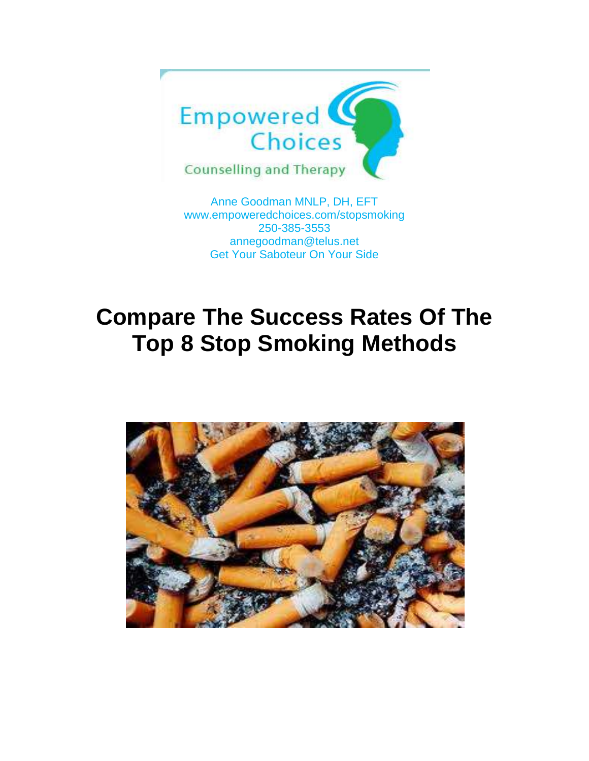

Anne Goodman MNLP, DH, EFT [www.empoweredchoices.com/](http://www.empoweredchoices.com/)stopsmoking 250-385-3553 annegoodman@telus.net Get Your Saboteur On Your Side

## **Compare The Success Rates Of The Top 8 Stop Smoking Methods**

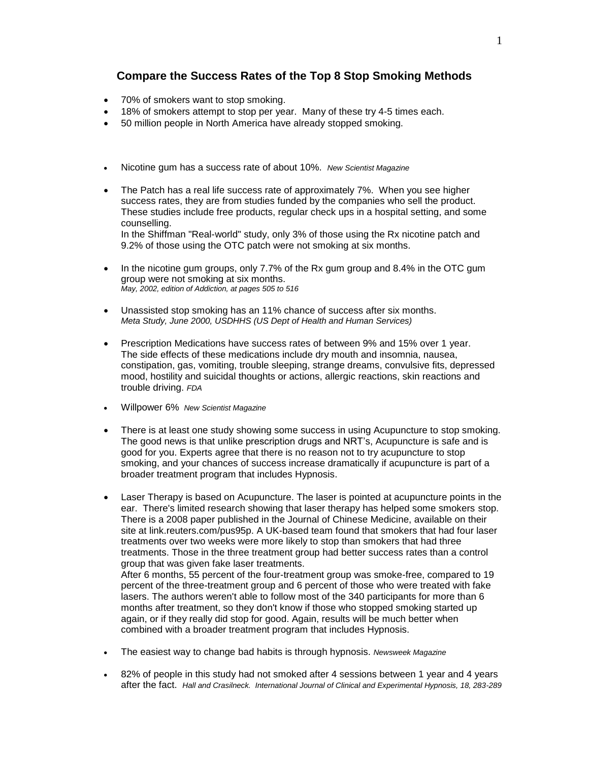## **Compare the Success Rates of the Top 8 Stop Smoking Methods**

- 70% of smokers want to stop smoking.
- 18% of smokers attempt to stop per year. Many of these try 4-5 times each.
- 50 million people in North America have already stopped smoking.
- Nicotine gum has a success rate of about 10%. *New Scientist Magazine*
- The Patch has a real life success rate of approximately 7%. When you see higher success rates, they are from studies funded by the companies who sell the product. These studies include free products, regular check ups in a hospital setting, and some counselling. In the Shiffman "Real-world" study, only 3% of those using the Rx nicotine patch and 9.2% of those using the OTC patch were not smoking at six months.
- In the nicotine gum groups, only 7.7% of the Rx gum group and 8.4% in the OTC gum group were not smoking at six months. *May, 2002, edition of Addiction, at pages 505 to 516*
- Unassisted stop smoking has an [11%](http://whyquit.com/whyquit/A_OTCPatch.html) chance of success after six months. *Meta Study, June 2000, USDHHS (US Dept of Health and Human Services)*
- Prescription Medications have success rates of between 9% and 15% over 1 year. The side effects of these medications include dry mouth and insomnia, nausea, constipation, gas, vomiting, trouble sleeping, strange dreams, convulsive fits, depressed mood, hostility and suicidal thoughts or actions, allergic reactions, skin reactions and trouble driving. *FDA*
- Willpower 6% *New Scientist Magazine*
- There is at least one study showing some success in using Acupuncture to stop smoking. The good news is that unlike prescription drugs and NRT's, Acupuncture is safe and is good for you. Experts agree that there is no reason not to try acupuncture to stop smoking, and your chances of success increase dramatically if acupuncture is part of a broader treatment program that includes Hypnosis.
- Laser Therapy is based on Acupuncture. The laser is pointed at acupuncture points in the ear. There's limited research showing that laser therapy has helped some smokers stop. There is a 2008 paper published in the Journal of Chinese Medicine, available on their site at link.reuters.com/pus95p. A UK-based team found that smokers that had four laser treatments over two weeks were more likely to stop than smokers that had three treatments. Those in the three treatment group had better success rates than a control group that was given fake laser treatments. After 6 months, 55 percent of the four-treatment group was smoke-free, compared to 19

percent of the three-treatment group and 6 percent of those who were treated with fake lasers. The authors weren't able to follow most of the 340 participants for more than 6 months after treatment, so they don't know if those who stopped smoking started up again, or if they really did stop for good. Again, results will be much better when combined with a broader treatment program that includes Hypnosis.

- The easiest way to change bad habits is through hypnosis. *Newsweek Magazine*
- 82% of people in this study had not smoked after 4 sessions between 1 year and 4 years after the fact. *Hall and Crasilneck. International Journal of Clinical and Experimental Hypnosis, 18, 283-289*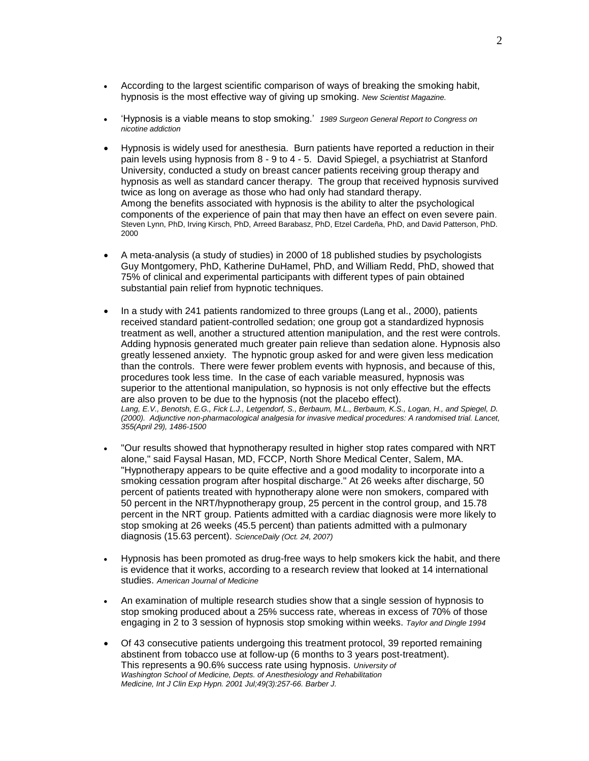- According to the largest scientific comparison of ways of breaking the smoking habit, hypnosis is the most effective way of giving up smoking. *New Scientist Magazine.*
- 'Hypnosis is a viable means to stop smoking.' *1989 Surgeon General Report to Congress on nicotine addiction*
- Hypnosis is widely used for anesthesia. Burn patients have reported a reduction in their pain levels using hypnosis from 8 - 9 to 4 - 5. David Spiegel, a psychiatrist at Stanford University, conducted a study on breast cancer patients receiving group therapy and hypnosis as well as standard cancer therapy. The group that received hypnosis survived twice as long on average as those who had only had standard therapy. Among the benefits associated with hypnosis is the ability to alter the psychological components of the experience of pain that may then have an effect on even severe pain. Steven Lynn, PhD, Irving Kirsch, PhD, Arreed Barabasz, PhD, Etzel Cardeña, PhD, and David Patterson, PhD. 2000
- A meta-analysis (a study of studies) in 2000 of 18 published studies by psychologists Guy Montgomery, PhD, Katherine DuHamel, PhD, and William Redd, PhD, showed that 75% of clinical and experimental participants with different types of pain obtained substantial pain relief from hypnotic techniques.
- In a study with 241 patients randomized to three groups (Lang et al., 2000), patients received standard patient-controlled sedation; one group got a standardized hypnosis treatment as well, another a structured attention manipulation, and the rest were controls. Adding hypnosis generated much greater pain relieve than sedation alone. Hypnosis also greatly lessened anxiety. The hypnotic group asked for and were given less medication than the controls. There were fewer problem events with hypnosis, and because of this, procedures took less time. In the case of each variable measured, hypnosis was superior to the attentional manipulation, so hypnosis is not only effective but the effects are also proven to be due to the hypnosis (not the placebo effect). *Lang, E.V., Benotsh, E.G., Fick L.J., Letgendorf, S., Berbaum, M.L., Berbaum, K.S., Logan, H., and Spiegel, D. (2000). Adjunctive non-pharmacological analgesia for invasive medical procedures: A randomised trial. Lancet, 355(April 29), 1486-1500*
- "Our results showed that hypnotherapy resulted in higher stop rates compared with NRT alone," said Faysal Hasan, MD, FCCP, North Shore Medical Center, Salem, MA. "Hypnotherapy appears to be quite effective and a good modality to incorporate into a smoking cessation program after hospital discharge." At 26 weeks after discharge, 50 percent of patients treated with hypnotherapy alone were non smokers, compared with 50 percent in the NRT/hypnotherapy group, 25 percent in the control group, and 15.78 percent in the NRT group. Patients admitted with a cardiac diagnosis were more likely to stop smoking at 26 weeks (45.5 percent) than patients admitted with a pulmonary diagnosis (15.63 percent). *ScienceDaily (Oct. 24, 2007)*
- Hypnosis has been promoted as drug-free ways to help smokers kick the habit, and there is evidence that it works, according to a research review that looked at 14 international studies. *American Journal of Medicine*
- An examination of multiple research studies show that a single session of hypnosis to stop smoking produced about a 25% success rate, whereas in excess of 70% of those engaging in 2 to 3 session of hypnosis stop smoking within weeks. *Taylor and Dingle 1994*
- Of 43 consecutive patients undergoing this treatment protocol, 39 reported remaining abstinent from tobacco use at follow-up (6 months to 3 years post-treatment). This represents a 90.6% success rate using hypnosis. *University of Washington School of Medicine, Depts. of Anesthesiology and Rehabilitation Medicine, Int J Clin Exp Hypn. 2001 Jul;49(3):257-66. Barber J.*